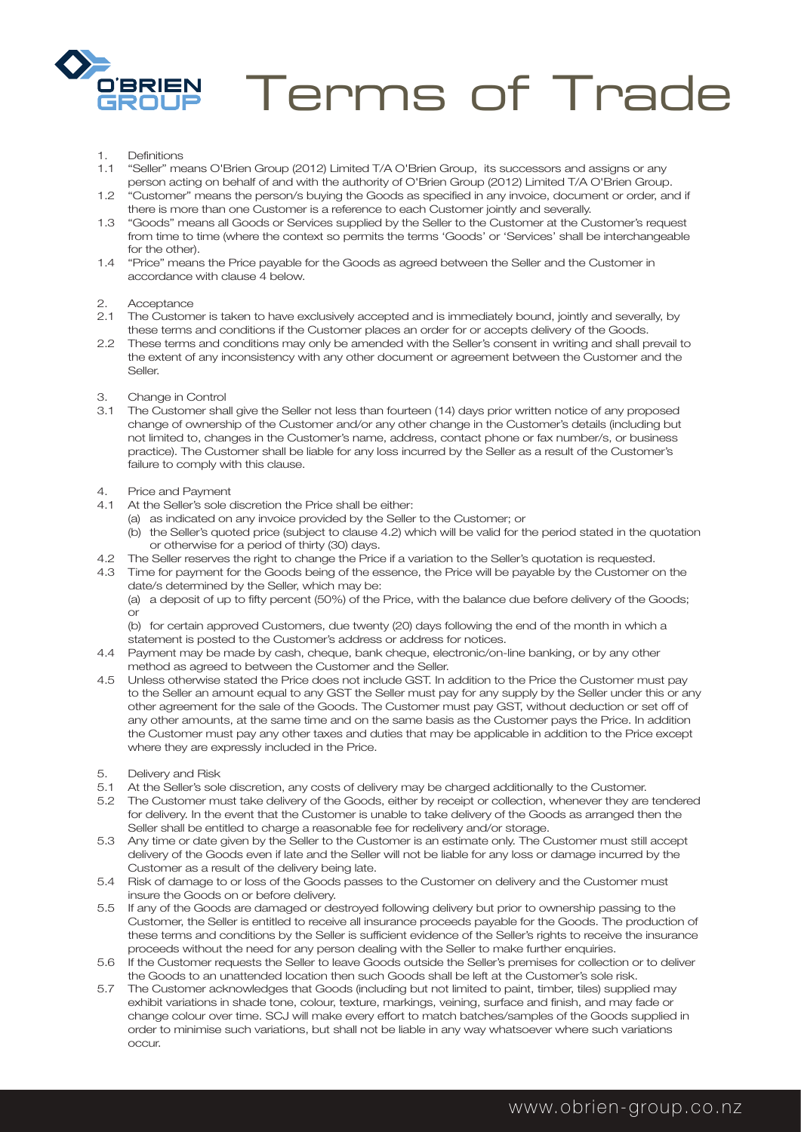

Terms of Trade

1. Definitions

1.1 "Seller" means O'Brien Group (2012) Limited T/A O'Brien Group, its successors and assigns or any person acting on behalf of and with the authority of O'Brien Group (2012) Limited T/A O'Brien Group.

- 1.2 "Customer" means the person/s buying the Goods as specified in any invoice, document or order, and if there is more than one Customer is a reference to each Customer jointly and severally.
- 1.3 "Goods" means all Goods or Services supplied by the Seller to the Customer at the Customer's request from time to time (where the context so permits the terms 'Goods' or 'Services' shall be interchangeable for the other).
- 1.4 "Price" means the Price payable for the Goods as agreed between the Seller and the Customer in accordance with clause 4 below.
- 2. Acceptance
- 2.1 The Customer is taken to have exclusively accepted and is immediately bound, jointly and severally, by these terms and conditions if the Customer places an order for or accepts delivery of the Goods.
- 2.2 These terms and conditions may only be amended with the Seller's consent in writing and shall prevail to the extent of any inconsistency with any other document or agreement between the Customer and the Seller.
- 3. Change in Control
- 3.1 The Customer shall give the Seller not less than fourteen (14) days prior written notice of any proposed change of ownership of the Customer and/or any other change in the Customer's details (including but not limited to, changes in the Customer's name, address, contact phone or fax number/s, or business practice). The Customer shall be liable for any loss incurred by the Seller as a result of the Customer's failure to comply with this clause.
- 4. Price and Payment
- 4. Price and Payment<br>4.1 At the Seller's sole discretion the Price shall be either:
	- (a) as indicated on any invoice provided by the Seller to the Customer; or
	- (b) the Seller's quoted price (subject to clause 4.2) which will be valid for the period stated in the quotation or otherwise for a period of thirty (30) days.
- 4.2 The Seller reserves the right to change the Price if a variation to the Seller's quotation is requested.
- 4.3 Time for payment for the Goods being of the essence, the Price will be payable by the Customer on the date/s determined by the Seller, which may be:

 (a) a deposit of up to fifty percent (50%) of the Price, with the balance due before delivery of the Goods; or

 (b) for certain approved Customers, due twenty (20) days following the end of the month in which a statement is posted to the Customer's address or address for notices.

- 4.4 Payment may be made by cash, cheque, bank cheque, electronic/on-line banking, or by any other method as agreed to between the Customer and the Seller.
- 4.5 Unless otherwise stated the Price does not include GST. In addition to the Price the Customer must pay to the Seller an amount equal to any GST the Seller must pay for any supply by the Seller under this or any other agreement for the sale of the Goods. The Customer must pay GST, without deduction or set off of any other amounts, at the same time and on the same basis as the Customer pays the Price. In addition the Customer must pay any other taxes and duties that may be applicable in addition to the Price except where they are expressly included in the Price.
- 5. Delivery and Risk
- 5.1 At the Seller's sole discretion, any costs of delivery may be charged additionally to the Customer.
- 5.2 The Customer must take delivery of the Goods, either by receipt or collection, whenever they are tendered for delivery. In the event that the Customer is unable to take delivery of the Goods as arranged then the Seller shall be entitled to charge a reasonable fee for redelivery and/or storage.
- 5.3 Any time or date given by the Seller to the Customer is an estimate only. The Customer must still accept delivery of the Goods even if late and the Seller will not be liable for any loss or damage incurred by the Customer as a result of the delivery being late.
- 5.4 Risk of damage to or loss of the Goods passes to the Customer on delivery and the Customer must insure the Goods on or before delivery.
- 5.5 If any of the Goods are damaged or destroyed following delivery but prior to ownership passing to the Customer, the Seller is entitled to receive all insurance proceeds payable for the Goods. The production of these terms and conditions by the Seller is sufficient evidence of the Seller's rights to receive the insurance proceeds without the need for any person dealing with the Seller to make further enquiries.
- 5.6 If the Customer requests the Seller to leave Goods outside the Seller's premises for collection or to deliver the Goods to an unattended location then such Goods shall be left at the Customer's sole risk.
- 5.7 The Customer acknowledges that Goods (including but not limited to paint, timber, tiles) supplied may exhibit variations in shade tone, colour, texture, markings, veining, surface and finish, and may fade or change colour over time. SCJ will make every effort to match batches/samples of the Goods supplied in order to minimise such variations, but shall not be liable in any way whatsoever where such variations occur.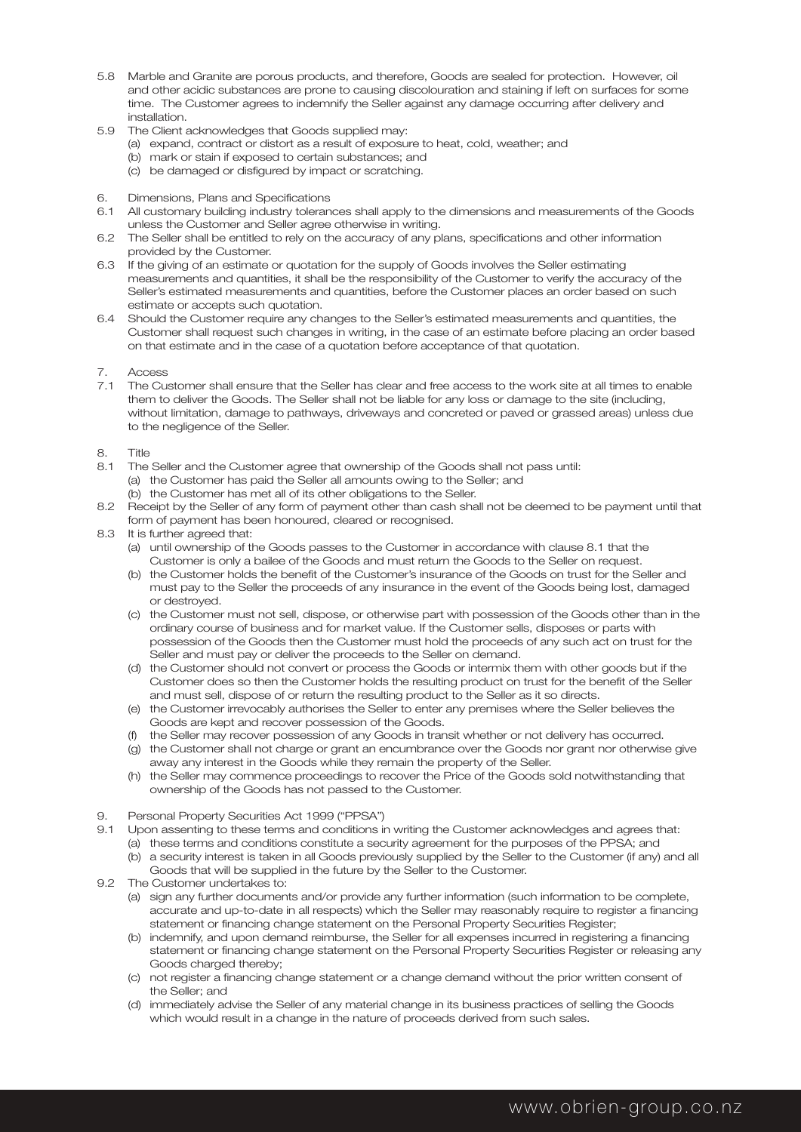- 5.8 Marble and Granite are porous products, and therefore, Goods are sealed for protection. However, oil and other acidic substances are prone to causing discolouration and staining if left on surfaces for some time. The Customer agrees to indemnify the Seller against any damage occurring after delivery and installation.
- 5.9 The Client acknowledges that Goods supplied may:
	- (a) expand, contract or distort as a result of exposure to heat, cold, weather; and
	- (b) mark or stain if exposed to certain substances; and
	- (c) be damaged or disfigured by impact or scratching.
- 6. Dimensions, Plans and Specifications
- 6.1 All customary building industry tolerances shall apply to the dimensions and measurements of the Goods unless the Customer and Seller agree otherwise in writing.
- 6.2 The Seller shall be entitled to rely on the accuracy of any plans, specifications and other information provided by the Customer.
- 6.3 If the giving of an estimate or quotation for the supply of Goods involves the Seller estimating measurements and quantities, it shall be the responsibility of the Customer to verify the accuracy of the Seller's estimated measurements and quantities, before the Customer places an order based on such estimate or accepts such quotation.
- 6.4 Should the Customer require any changes to the Seller's estimated measurements and quantities, the Customer shall request such changes in writing, in the case of an estimate before placing an order based on that estimate and in the case of a quotation before acceptance of that quotation.
- 7. Access
- 7.1 The Customer shall ensure that the Seller has clear and free access to the work site at all times to enable them to deliver the Goods. The Seller shall not be liable for any loss or damage to the site (including, without limitation, damage to pathways, driveways and concreted or paved or grassed areas) unless due to the negligence of the Seller.
- 8. Title
- 8.1 The Seller and the Customer agree that ownership of the Goods shall not pass until:
	- (a) the Customer has paid the Seller all amounts owing to the Seller; and
	- (b) the Customer has met all of its other obligations to the Seller.
- 8.2 Receipt by the Seller of any form of payment other than cash shall not be deemed to be payment until that form of payment has been honoured, cleared or recognised.
- 8.3 It is further agreed that:
	- (a) until ownership of the Goods passes to the Customer in accordance with clause 8.1 that the Customer is only a bailee of the Goods and must return the Goods to the Seller on request.
	- (b) the Customer holds the benefit of the Customer's insurance of the Goods on trust for the Seller and must pay to the Seller the proceeds of any insurance in the event of the Goods being lost, damaged or destroyed.
	- (c) the Customer must not sell, dispose, or otherwise part with possession of the Goods other than in the ordinary course of business and for market value. If the Customer sells, disposes or parts with possession of the Goods then the Customer must hold the proceeds of any such act on trust for the Seller and must pay or deliver the proceeds to the Seller on demand.
	- (d) the Customer should not convert or process the Goods or intermix them with other goods but if the Customer does so then the Customer holds the resulting product on trust for the benefit of the Seller and must sell, dispose of or return the resulting product to the Seller as it so directs.
	- (e) the Customer irrevocably authorises the Seller to enter any premises where the Seller believes the Goods are kept and recover possession of the Goods.
	- (f) the Seller may recover possession of any Goods in transit whether or not delivery has occurred.
	- (g) the Customer shall not charge or grant an encumbrance over the Goods nor grant nor otherwise give away any interest in the Goods while they remain the property of the Seller.
	- (h) the Seller may commence proceedings to recover the Price of the Goods sold notwithstanding that ownership of the Goods has not passed to the Customer.

## 9. Personal Property Securities Act 1999 ("PPSA")

- 9.1 Upon assenting to these terms and conditions in writing the Customer acknowledges and agrees that: (a) these terms and conditions constitute a security agreement for the purposes of the PPSA; and
	- (b) a security interest is taken in all Goods previously supplied by the Seller to the Customer (if any) and all Goods that will be supplied in the future by the Seller to the Customer.
- 9.2 The Customer undertakes to:
	- (a) sign any further documents and/or provide any further information (such information to be complete, accurate and up-to-date in all respects) which the Seller may reasonably require to register a financing statement or financing change statement on the Personal Property Securities Register;
	- (b) indemnify, and upon demand reimburse, the Seller for all expenses incurred in registering a financing statement or financing change statement on the Personal Property Securities Register or releasing any Goods charged thereby;
	- (c) not register a financing change statement or a change demand without the prior written consent of the Seller; and
	- (d) immediately advise the Seller of any material change in its business practices of selling the Goods which would result in a change in the nature of proceeds derived from such sales.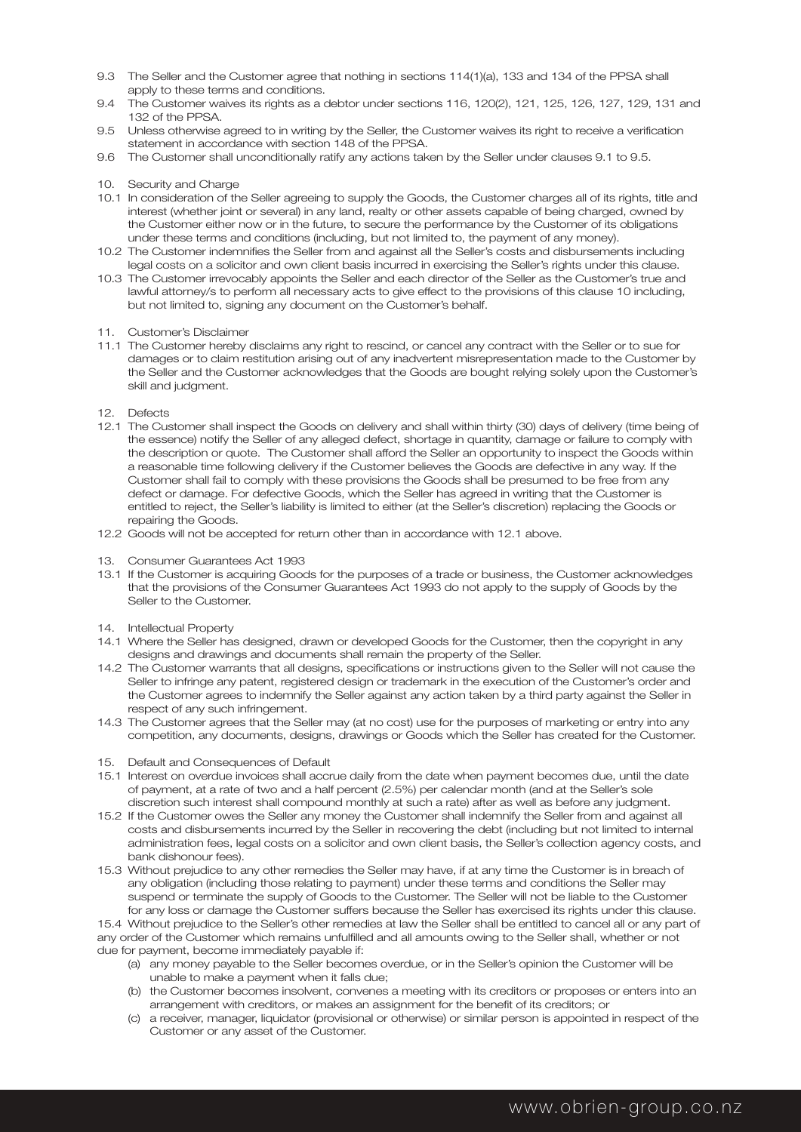- 9.3 The Seller and the Customer agree that nothing in sections 114(1)(a), 133 and 134 of the PPSA shall apply to these terms and conditions.
- 9.4 The Customer waives its rights as a debtor under sections 116, 120(2), 121, 125, 126, 127, 129, 131 and 132 of the PPSA.
- 9.5 Unless otherwise agreed to in writing by the Seller, the Customer waives its right to receive a verification statement in accordance with section 148 of the PPSA.
- 9.6 The Customer shall unconditionally ratify any actions taken by the Seller under clauses 9.1 to 9.5.
- 10. Security and Charge
- 10.1 In consideration of the Seller agreeing to supply the Goods, the Customer charges all of its rights, title and interest (whether joint or several) in any land, realty or other assets capable of being charged, owned by the Customer either now or in the future, to secure the performance by the Customer of its obligations under these terms and conditions (including, but not limited to, the payment of any money).
- 10.2 The Customer indemnifies the Seller from and against all the Seller's costs and disbursements including legal costs on a solicitor and own client basis incurred in exercising the Seller's rights under this clause.
- 10.3 The Customer irrevocably appoints the Seller and each director of the Seller as the Customer's true and lawful attorney/s to perform all necessary acts to give effect to the provisions of this clause 10 including, but not limited to, signing any document on the Customer's behalf.
- 11. Customer's Disclaimer
- 11.1 The Customer hereby disclaims any right to rescind, or cancel any contract with the Seller or to sue for damages or to claim restitution arising out of any inadvertent misrepresentation made to the Customer by the Seller and the Customer acknowledges that the Goods are bought relying solely upon the Customer's skill and judgment.
- 12. Defects
- 12.1 The Customer shall inspect the Goods on delivery and shall within thirty (30) days of delivery (time being of the essence) notify the Seller of any alleged defect, shortage in quantity, damage or failure to comply with the description or quote. The Customer shall afford the Seller an opportunity to inspect the Goods within a reasonable time following delivery if the Customer believes the Goods are defective in any way. If the Customer shall fail to comply with these provisions the Goods shall be presumed to be free from any defect or damage. For defective Goods, which the Seller has agreed in writing that the Customer is entitled to reject, the Seller's liability is limited to either (at the Seller's discretion) replacing the Goods or repairing the Goods.
- 12.2 Goods will not be accepted for return other than in accordance with 12.1 above.
- 13. Consumer Guarantees Act 1993
- 13.1 If the Customer is acquiring Goods for the purposes of a trade or business, the Customer acknowledges that the provisions of the Consumer Guarantees Act 1993 do not apply to the supply of Goods by the Seller to the Customer.
- 14. Intellectual Property
- 14.1 Where the Seller has designed, drawn or developed Goods for the Customer, then the copyright in any designs and drawings and documents shall remain the property of the Seller.
- 14.2 The Customer warrants that all designs, specifications or instructions given to the Seller will not cause the Seller to infringe any patent, registered design or trademark in the execution of the Customer's order and the Customer agrees to indemnify the Seller against any action taken by a third party against the Seller in respect of any such infringement.
- 14.3 The Customer agrees that the Seller may (at no cost) use for the purposes of marketing or entry into any competition, any documents, designs, drawings or Goods which the Seller has created for the Customer.
- 15. Default and Consequences of Default
- 15.1 Interest on overdue invoices shall accrue daily from the date when payment becomes due, until the date of payment, at a rate of two and a half percent (2.5%) per calendar month (and at the Seller's sole discretion such interest shall compound monthly at such a rate) after as well as before any judgment.
- 15.2 If the Customer owes the Seller any money the Customer shall indemnify the Seller from and against all costs and disbursements incurred by the Seller in recovering the debt (including but not limited to internal administration fees, legal costs on a solicitor and own client basis, the Seller's collection agency costs, and bank dishonour fees).
- 15.3 Without prejudice to any other remedies the Seller may have, if at any time the Customer is in breach of any obligation (including those relating to payment) under these terms and conditions the Seller may suspend or terminate the supply of Goods to the Customer. The Seller will not be liable to the Customer for any loss or damage the Customer suffers because the Seller has exercised its rights under this clause.

15.4 Without prejudice to the Seller's other remedies at law the Seller shall be entitled to cancel all or any part of any order of the Customer which remains unfulfilled and all amounts owing to the Seller shall, whether or not due for payment, become immediately payable if:

- (a) any money payable to the Seller becomes overdue, or in the Seller's opinion the Customer will be unable to make a payment when it falls due;
- (b) the Customer becomes insolvent, convenes a meeting with its creditors or proposes or enters into an arrangement with creditors, or makes an assignment for the benefit of its creditors; or
- (c) a receiver, manager, liquidator (provisional or otherwise) or similar person is appointed in respect of the Customer or any asset of the Customer.